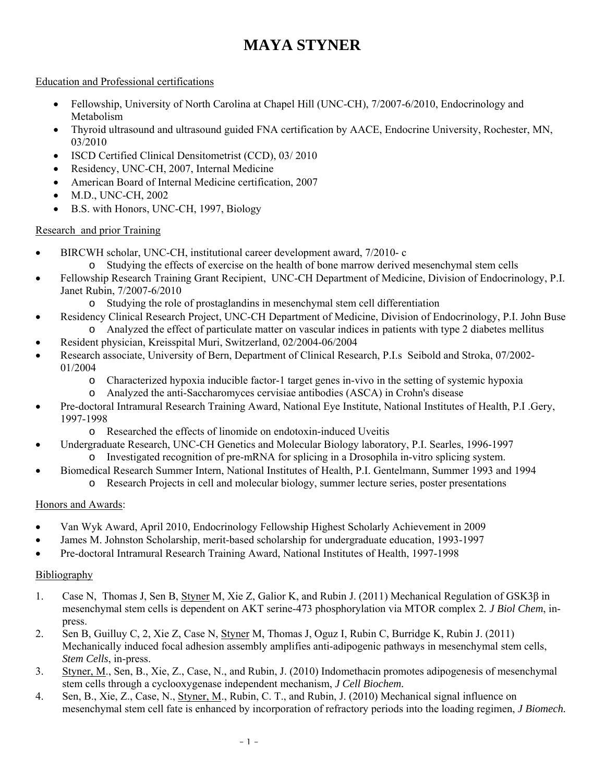#### Education and Professional certifications

- Fellowship, University of North Carolina at Chapel Hill (UNC-CH), 7/2007-6/2010, Endocrinology and Metabolism
- Thyroid ultrasound and ultrasound guided FNA certification by AACE, Endocrine University, Rochester, MN, 03/2010
- ISCD Certified Clinical Densitometrist (CCD), 03/2010
- Residency, UNC-CH, 2007, Internal Medicine
- American Board of Internal Medicine certification, 2007
- M.D., UNC-CH, 2002
- B.S. with Honors, UNC-CH, 1997, Biology

## Research and prior Training

- BIRCWH scholar, UNC-CH, institutional career development award, 7/2010- c
	- o Studying the effects of exercise on the health of bone marrow derived mesenchymal stem cells
- Fellowship Research Training Grant Recipient, UNC-CH Department of Medicine, Division of Endocrinology, P.I. Janet Rubin, 7/2007-6/2010
	- o Studying the role of prostaglandins in mesenchymal stem cell differentiation
- Residency Clinical Research Project, UNC-CH Department of Medicine, Division of Endocrinology, P.I. John Buse o Analyzed the effect of particulate matter on vascular indices in patients with type 2 diabetes mellitus
- Resident physician, Kreisspital Muri, Switzerland, 02/2004-06/2004
- Research associate, University of Bern, Department of Clinical Research, P.I.s Seibold and Stroka, 07/2002- 01/2004
	- o Characterized hypoxia inducible factor-1 target genes in-vivo in the setting of systemic hypoxia
	- o Analyzed the anti-Saccharomyces cervisiae antibodies (ASCA) in Crohn's disease
- Pre-doctoral Intramural Research Training Award, National Eye Institute, National Institutes of Health, P.I .Gery, 1997-1998
	- o Researched the effects of linomide on endotoxin-induced Uveitis
- Undergraduate Research, UNC-CH Genetics and Molecular Biology laboratory, P.I. Searles, 1996-1997 o Investigated recognition of pre-mRNA for splicing in a Drosophila in-vitro splicing system.
- Biomedical Research Summer Intern, National Institutes of Health, P.I. Gentelmann, Summer 1993 and 1994 o Research Projects in cell and molecular biology, summer lecture series, poster presentations

## Honors and Awards:

- Van Wyk Award, April 2010, Endocrinology Fellowship Highest Scholarly Achievement in 2009
- James M. Johnston Scholarship, merit-based scholarship for undergraduate education, 1993-1997
- Pre-doctoral Intramural Research Training Award, National Institutes of Health, 1997-1998

## Bibliography

- 1. Case N, Thomas J, Sen B, Styner M, Xie Z, Galior K, and Rubin J. (2011) Mechanical Regulation of GSK3β in mesenchymal stem cells is dependent on AKT serine-473 phosphorylation via MTOR complex 2*. J Biol Chem*, inpress.
- 2. Sen B, Guilluy C, 2, Xie Z, Case N, Styner M, Thomas J, Oguz I, Rubin C, Burridge K, Rubin J. (2011) Mechanically induced focal adhesion assembly amplifies anti-adipogenic pathways in mesenchymal stem cells, *Stem Cells*, in-press.
- 3. Styner, M., Sen, B., Xie, Z., Case, N., and Rubin, J. (2010) Indomethacin promotes adipogenesis of mesenchymal stem cells through a cyclooxygenase independent mechanism, *J Cell Biochem.*
- 4. Sen, B., Xie, Z., Case, N., Styner, M., Rubin, C. T., and Rubin, J. (2010) Mechanical signal influence on mesenchymal stem cell fate is enhanced by incorporation of refractory periods into the loading regimen, *J Biomech.*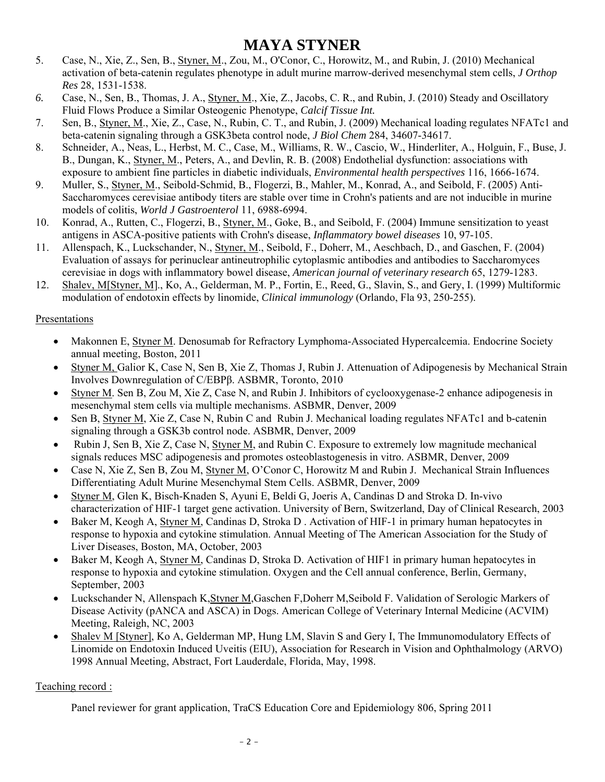- 5. Case, N., Xie, Z., Sen, B., Styner, M., Zou, M., O'Conor, C., Horowitz, M., and Rubin, J. (2010) Mechanical activation of beta-catenin regulates phenotype in adult murine marrow-derived mesenchymal stem cells, *J Orthop Res* 28, 1531-1538.
- *6.* Case, N., Sen, B., Thomas, J. A., Styner, M., Xie, Z., Jacobs, C. R., and Rubin, J. (2010) Steady and Oscillatory Fluid Flows Produce a Similar Osteogenic Phenotype, *Calcif Tissue Int.*
- 7. Sen, B., Styner, M., Xie, Z., Case, N., Rubin, C. T., and Rubin, J. (2009) Mechanical loading regulates NFATc1 and beta-catenin signaling through a GSK3beta control node, *J Biol Chem* 284, 34607-34617.
- 8. Schneider, A., Neas, L., Herbst, M. C., Case, M., Williams, R. W., Cascio, W., Hinderliter, A., Holguin, F., Buse, J. B., Dungan, K., Styner, M., Peters, A., and Devlin, R. B. (2008) Endothelial dysfunction: associations with exposure to ambient fine particles in diabetic individuals, *Environmental health perspectives* 116, 1666-1674.
- 9. Muller, S., Styner, M., Seibold-Schmid, B., Flogerzi, B., Mahler, M., Konrad, A., and Seibold, F. (2005) Anti-Saccharomyces cerevisiae antibody titers are stable over time in Crohn's patients and are not inducible in murine models of colitis, *World J Gastroenterol* 11, 6988-6994.
- 10. Konrad, A., Rutten, C., Flogerzi, B., Styner, M., Goke, B., and Seibold, F. (2004) Immune sensitization to yeast antigens in ASCA-positive patients with Crohn's disease, *Inflammatory bowel diseases* 10, 97-105.
- 11. Allenspach, K., Luckschander, N., Styner, M., Seibold, F., Doherr, M., Aeschbach, D., and Gaschen, F. (2004) Evaluation of assays for perinuclear antineutrophilic cytoplasmic antibodies and antibodies to Saccharomyces cerevisiae in dogs with inflammatory bowel disease, *American journal of veterinary research* 65, 1279-1283.
- 12. Shalev, M[Styner, M]., Ko, A., Gelderman, M. P., Fortin, E., Reed, G., Slavin, S., and Gery, I. (1999) Multiformic modulation of endotoxin effects by linomide, *Clinical immunology* (Orlando, Fla 93, 250-255).

#### Presentations

- Makonnen E, Styner M. Denosumab for Refractory Lymphoma-Associated Hypercalcemia. Endocrine Society annual meeting, Boston, 2011
- Styner M, Galior K, Case N, Sen B, Xie Z, Thomas J, Rubin J. Attenuation of Adipogenesis by Mechanical Strain Involves Downregulation of C/EBPβ. ASBMR, Toronto, 2010
- Styner M. Sen B, Zou M, Xie Z, Case N, and Rubin J. Inhibitors of cyclooxygenase-2 enhance adipogenesis in mesenchymal stem cells via multiple mechanisms. ASBMR, Denver, 2009
- Sen B, Styner M, Xie Z, Case N, Rubin C and Rubin J. Mechanical loading regulates NFATc1 and b-catenin signaling through a GSK3b control node. ASBMR, Denver, 2009
- Rubin J, Sen B, Xie Z, Case N, Styner M, and Rubin C. Exposure to extremely low magnitude mechanical signals reduces MSC adipogenesis and promotes osteoblastogenesis in vitro. ASBMR, Denver, 2009
- Case N, Xie Z, Sen B, Zou M, Styner M, O'Conor C, Horowitz M and Rubin J. Mechanical Strain Influences Differentiating Adult Murine Mesenchymal Stem Cells. ASBMR, Denver, 2009
- Styner M, Glen K, Bisch-Knaden S, Ayuni E, Beldi G, Joeris A, Candinas D and Stroka D. In-vivo characterization of HIF-1 target gene activation. University of Bern, Switzerland, Day of Clinical Research, 2003
- Baker M, Keogh A, Styner M, Candinas D, Stroka D . Activation of HIF-1 in primary human hepatocytes in response to hypoxia and cytokine stimulation. Annual Meeting of The American Association for the Study of Liver Diseases, Boston, MA, October, 2003
- Baker M, Keogh A, Styner M, Candinas D, Stroka D. Activation of HIF1 in primary human hepatocytes in response to hypoxia and cytokine stimulation. Oxygen and the Cell annual conference, Berlin, Germany, September, 2003
- Luckschander N, Allenspach K,Styner M,Gaschen F,Doherr M,Seibold F. Validation of Serologic Markers of Disease Activity (pANCA and ASCA) in Dogs. American College of Veterinary Internal Medicine (ACVIM) Meeting, Raleigh, NC, 2003
- Shalev M [Styner], Ko A, Gelderman MP, Hung LM, Slavin S and Gery I, The Immunomodulatory Effects of Linomide on Endotoxin Induced Uveitis (EIU), Association for Research in Vision and Ophthalmology (ARVO) 1998 Annual Meeting, Abstract, Fort Lauderdale, Florida, May, 1998.

#### Teaching record :

Panel reviewer for grant application, TraCS Education Core and Epidemiology 806, Spring 2011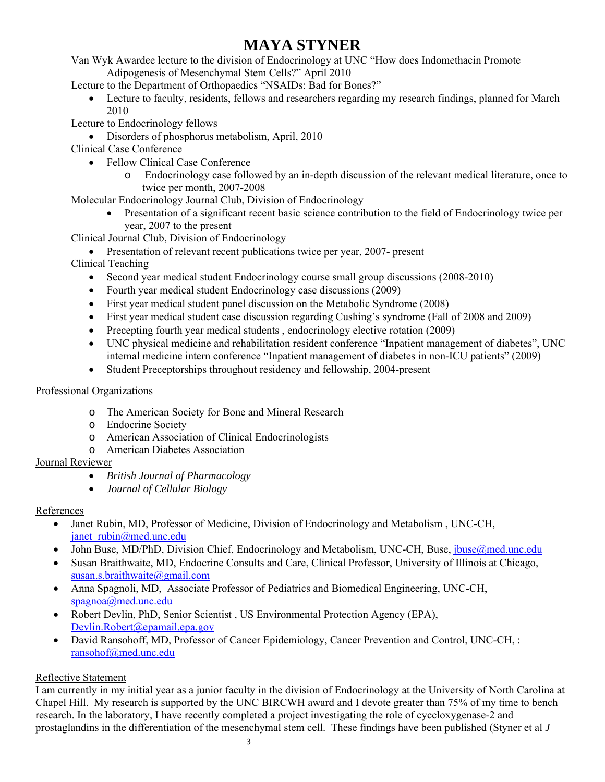Van Wyk Awardee lecture to the division of Endocrinology at UNC "How does Indomethacin Promote

Adipogenesis of Mesenchymal Stem Cells?" April 2010

Lecture to the Department of Orthopaedics "NSAIDs: Bad for Bones?"

- Lecture to faculty, residents, fellows and researchers regarding my research findings, planned for March 2010
- Lecture to Endocrinology fellows
	- Disorders of phosphorus metabolism, April, 2010
- Clinical Case Conference
	- Fellow Clinical Case Conference
		- o Endocrinology case followed by an in-depth discussion of the relevant medical literature, once to twice per month, 2007-2008

Molecular Endocrinology Journal Club, Division of Endocrinology

 Presentation of a significant recent basic science contribution to the field of Endocrinology twice per year, 2007 to the present

Clinical Journal Club, Division of Endocrinology

• Presentation of relevant recent publications twice per year, 2007- present

Clinical Teaching

- Second year medical student Endocrinology course small group discussions (2008-2010)
- Fourth year medical student Endocrinology case discussions (2009)
- First year medical student panel discussion on the Metabolic Syndrome (2008)
- First year medical student case discussion regarding Cushing's syndrome (Fall of 2008 and 2009)
- Precepting fourth year medical students, endocrinology elective rotation (2009)
- UNC physical medicine and rehabilitation resident conference "Inpatient management of diabetes", UNC internal medicine intern conference "Inpatient management of diabetes in non-ICU patients" (2009)
- Student Preceptorships throughout residency and fellowship, 2004-present

## Professional Organizations

- o The American Society for Bone and Mineral Research
- o Endocrine Society
- o American Association of Clinical Endocrinologists
- o American Diabetes Association

## Journal Reviewer

- *British Journal of Pharmacology*
- *Journal of Cellular Biology*

## References

- Janet Rubin, MD, Professor of Medicine, Division of Endocrinology and Metabolism , UNC-CH, janet\_rubin@med.unc.edu
- John Buse, MD/PhD, Division Chief, Endocrinology and Metabolism, UNC-CH, Buse, jbuse@med.unc.edu
- Susan Braithwaite, MD, Endocrine Consults and Care, Clinical Professor, University of Illinois at Chicago, susan.s.braithwaite@gmail.com
- Anna Spagnoli, MD, Associate Professor of Pediatrics and Biomedical Engineering, UNC-CH, spagnoa@med.unc.edu
- Robert Devlin, PhD, Senior Scientist , US Environmental Protection Agency (EPA), Devlin.Robert@epamail.epa.gov
- David Ransohoff, MD, Professor of Cancer Epidemiology, Cancer Prevention and Control, UNC-CH, : ransohof@med.unc.edu

## Reflective Statement

I am currently in my initial year as a junior faculty in the division of Endocrinology at the University of North Carolina at Chapel Hill. My research is supported by the UNC BIRCWH award and I devote greater than 75% of my time to bench research. In the laboratory, I have recently completed a project investigating the role of cyccloxygenase-2 and prostaglandins in the differentiation of the mesenchymal stem cell. These findings have been published (Styner et al *J*